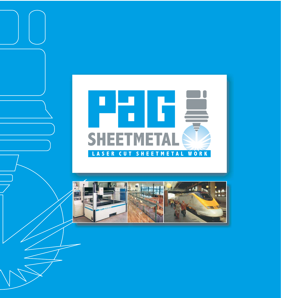# 남대 **SHEETMETAL** LASER CUT SHEETMETAL WORK

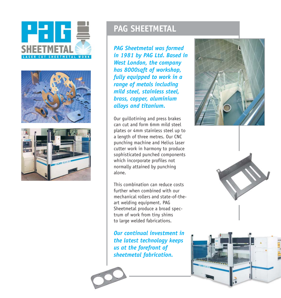





### **PAG SHEETMETAL**

*PAG Sheetmetal was formed in 1981 by PAG Ltd. Based in West London, the company has 8000sqft of workshop, fully equipped to work in a range of metals including mild steel, stainless steel, brass, copper, aluminium alloys and titanium.*

Our guillotining and press brakes can cut and form 6mm mild steel plates or 4mm stainless steel up to a length of three metres. Our CNC punching machine and Helius laser cutter work in harmony to produce sophisticated punched components which incorporate profiles not normally attained by punching alone.

This combination can reduce costs further when combined with our mechanical rollers and state-of-theart welding equipment. PAG Sheetmetal produce a broad spectrum of work from tiny shims to large welded fabrications.

*Our continual investment in the latest technology keeps us at the forefront of sheetmetal fabrication.*





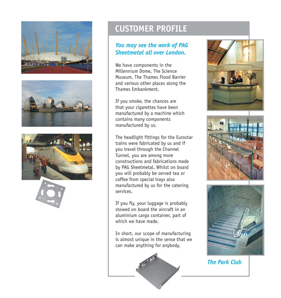





## **CUSTOMER PROFILE**

#### *You may see the work of PAG Sheetmetal all over London.*

We have components in the Millennium Dome, The Science Museum, The Thames Flood Barrier and various other places along the Thames Embankment.

If you smoke, the chances are that your cigarettes have been manufactured by a machine which contains many components manufactured by us.

The headlight fittings for the Eurostar trains were fabricated by us and if you travel through the Channel Tunnel, you are among more constructions and fabrications made by PAG Sheetmetal. Whilst on board you will probably be served tea or coffee from special trays also manufactured by us for the catering services.

If you fly, your luggage is probably stowed on board the aircraft in an aluminium cargo container, part of which we have made.

In short, our scope of manufacturing is almost unique in the sense that we can make anything for anybody.









*The Park Club*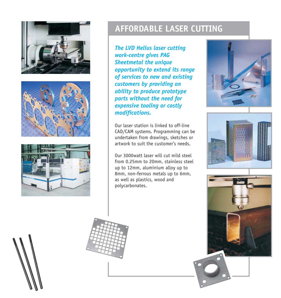





## **AFFORDABLE LASER CUTTING**

*The LVD Helius laser cutting work-centre gives PAG Sheetmetal the unique opportunity to extend its range of services to new and existing customers by providing an ability to produce prototype parts without the need for expensive tooling or costly modifications.*

Our laser station is linked to off-line CAD/CAM systems. Programming can be undertaken from drawings, sketches or artwork to suit the customer's needs.

Our 3000watt laser will cut mild steel from 0.25mm to 20mm, stainless steel up to 12mm, aluminium alloy up to 8mm, non-ferrous metals up to 6mm, as well as plastics, wood and polycarbonates.









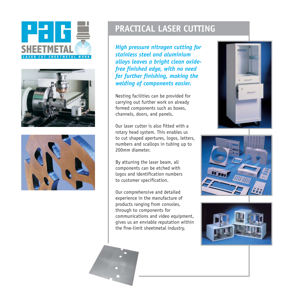





## **PRACTICAL LASER CUTTING**

*High pressure nitrogen cutting for stainless steel and aluminium alloys leaves a bright clean oxidefree finished edge, with no need for further finishing, making the welding of components easier.*

Nesting facilities can be provided for carrying out further work on already formed components such as boxes, channels, doors, and panels.

Our laser cutter is also fitted with a rotary head system. This enables us to cut shaped apertures, logos, letters, numbers and scallops in tubing up to 200mm diameter.

By attuning the laser beam, all components can be etched with logos and identification numbers to customer specification.

Our comprehensive and detailed experience in the manufacture of products ranging from consoles, through to components for communications and video equipment, gives us an enviable reputation within the fine-limit sheetmetal industry.